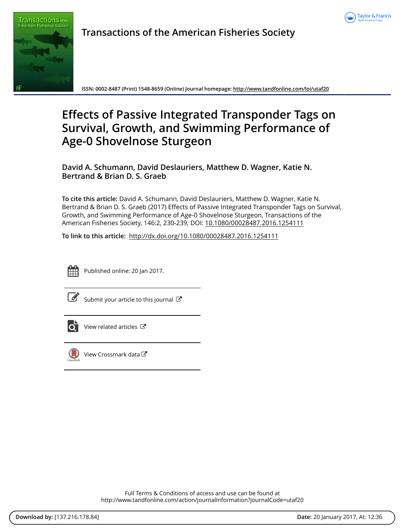



**Transactions of the American Fisheries Society**

**ISSN: 0002-8487 (Print) 1548-8659 (Online) Journal homepage:<http://www.tandfonline.com/loi/utaf20>**

# **Effects of Passive Integrated Transponder Tags on Survival, Growth, and Swimming Performance of Age-0 Shovelnose Sturgeon**

**David A. Schumann, David Deslauriers, Matthew D. Wagner, Katie N. Bertrand & Brian D. S. Graeb**

**To cite this article:** David A. Schumann, David Deslauriers, Matthew D. Wagner, Katie N. Bertrand & Brian D. S. Graeb (2017) Effects of Passive Integrated Transponder Tags on Survival, Growth, and Swimming Performance of Age-0 Shovelnose Sturgeon, Transactions of the American Fisheries Society, 146:2, 230-239, DOI: [10.1080/00028487.2016.1254111](http://www.tandfonline.com/action/showCitFormats?doi=10.1080/00028487.2016.1254111)

**To link to this article:** <http://dx.doi.org/10.1080/00028487.2016.1254111>



Published online: 20 Jan 2017.

[Submit your article to this journal](http://www.tandfonline.com/action/authorSubmission?journalCode=utaf20&show=instructions)  $\mathbb{Z}$ 



[View related articles](http://www.tandfonline.com/doi/mlt/10.1080/00028487.2016.1254111)  $\mathbb{Z}$ 



[View Crossmark data](http://crossmark.crossref.org/dialog/?doi=10.1080/00028487.2016.1254111&domain=pdf&date_stamp=2017-01-20)<sup>C</sup>

Full Terms & Conditions of access and use can be found at <http://www.tandfonline.com/action/journalInformation?journalCode=utaf20>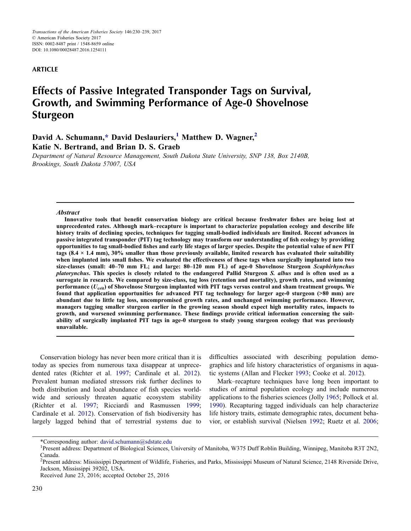#### ARTICLE

## Effects of Passive Integrated Transponder Tags on Survival, Growth, and Swimming Performance of Age-0 Shovelnose Sturgeon

### David A. Schumann,[\\*](#page-1-0) David Deslauriers, $<sup>1</sup>$  Matthew D. Wagner, $<sup>2</sup>$ </sup></sup> Katie N. Bertrand, and Brian D. S. Graeb

Department of Natural Resource Management, South Dakota State University, SNP 138, Box 2140B, Brookings, South Dakota 57007, USA

#### **Abstract**

Innovative tools that benefit conservation biology are critical because freshwater fishes are being lost at unprecedented rates. Although mark–recapture is important to characterize population ecology and describe life history traits of declining species, techniques for tagging small-bodied individuals are limited. Recent advances in passive integrated transponder (PIT) tag technology may transform our understanding of fish ecology by providing opportunities to tag small-bodied fishes and early life stages of larger species. Despite the potential value of new PIT tags  $(8.4 \times 1.4 \text{ mm})$ ,  $30\%$  smaller than those previously available, limited research has evaluated their suitability when implanted into small fishes. We evaluated the effectiveness of these tags when surgically implanted into two size-classes (small: 40–70 mm FL; and large: 80–120 mm FL) of age-0 Shovelnose Sturgeon Scaphirhynchus platorynchus. This species is closely related to the endangered Pallid Sturgeon S. albus and is often used as a surrogate in research. We compared by size-class, tag loss (retention and mortality), growth rates, and swimming performance  $(U_{\text{crit}})$  of Shovelnose Sturgeon implanted with PIT tags versus control and sham treatment groups. We found that application opportunities for advanced PIT tag technology for larger age-0 sturgeon (>80 mm) are abundant due to little tag loss, uncompromised growth rates, and unchanged swimming performance. However, managers tagging smaller sturgeon earlier in the growing season should expect high mortality rates, impacts to growth, and worsened swimming performance. These findings provide critical information concerning the suitability of surgically implanted PIT tags in age-0 sturgeon to study young sturgeon ecology that was previously unavailable.

Conservation biology has never been more critical than it is today as species from numerous taxa disappear at unprecedented rates (Richter et al. [1997](#page-10-0); Cardinale et al. [2012](#page-9-0)). Prevalent human mediated stressors risk further declines to both distribution and local abundance of fish species worldwide and seriously threaten aquatic ecosystem stability (Richter et al. [1997;](#page-10-0) Ricciardi and Rasmussen [1999](#page-10-1); Cardinale et al. [2012](#page-9-0)). Conservation of fish biodiversity has largely lagged behind that of terrestrial systems due to

difficulties associated with describing population demographics and life history characteristics of organisms in aquatic systems (Allan and Flecker [1993](#page-9-1); Cooke et al. [2012](#page-9-2)).

Mark–recapture techniques have long been important to studies of animal population ecology and include numerous applications to the fisheries sciences (Jolly [1965;](#page-9-3) Pollock et al. [1990\)](#page-10-2). Recapturing tagged individuals can help characterize life history traits, estimate demographic rates, document behavior, or establish survival (Nielsen [1992](#page-10-3); Ruetz et al. [2006](#page-10-4);

<span id="page-1-0"></span><sup>\*</sup>Corresponding author: david.schumann@sdstate.edu <sup>1</sup>

Present address: Department of Biological Sciences, University of Manitoba, W375 Duff Roblin Building, Winnipeg, Manitoba R3T 2N2, Canada.

<sup>&</sup>lt;sup>2</sup>Present address: Mississippi Department of Wildlife, Fisheries, and Parks, Mississippi Museum of Natural Science, 2148 Riverside Drive, Jackson, Mississippi 39202, USA.

Received June 23, 2016; accepted October 25, 2016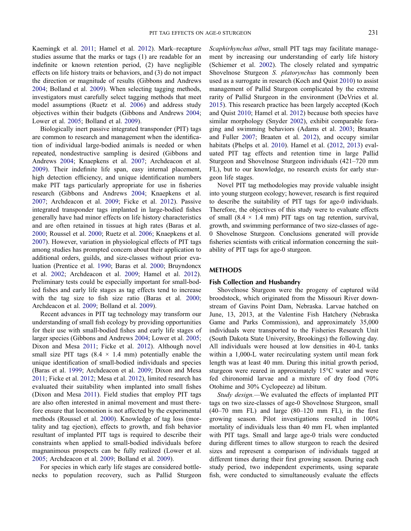Kaemingk et al. [2011](#page-9-4); Hamel et al. [2012\)](#page-9-5). Mark–recapture studies assume that the marks or tags (1) are readable for an indefinite or known retention period, (2) have negligible effects on life history traits or behaviors, and (3) do not impact the direction or magnitude of results (Gibbons and Andrews [2004;](#page-9-6) Bolland et al. [2009\)](#page-9-7). When selecting tagging methods, investigators must carefully select tagging methods that meet model assumptions (Ruetz et al. [2006\)](#page-10-4) and address study objectives within their budgets (Gibbons and Andrews [2004](#page-9-6); Lower et al. [2005;](#page-10-5) Bolland et al. [2009\)](#page-9-7).

Biologically inert passive integrated transponder (PIT) tags are common to research and management when the identification of individual large-bodied animals is needed or when repeated, nondestructive sampling is desired (Gibbons and Andrews [2004;](#page-9-6) Knaepkens et al. [2007;](#page-9-8) Archdeacon et al. [2009\)](#page-9-9). Their indefinite life span, easy internal placement, high detection efficiency, and unique identification numbers make PIT tags particularly appropriate for use in fisheries research (Gibbons and Andrews [2004;](#page-9-6) Knaepkens et al. [2007;](#page-9-8) Archdeacon et al. [2009;](#page-9-9) Ficke et al. [2012](#page-9-10)). Passive integrated transponder tags implanted in large-bodied fishes generally have had minor effects on life history characteristics and are often retained in tissues at high rates (Baras et al. [2000;](#page-9-11) Roussel et al. [2000;](#page-10-6) Ruetz et al. [2006;](#page-10-4) Knaepkens et al. [2007\)](#page-9-8). However, variation in physiological effects of PIT tags among studies has prompted concern about their application to additional orders, guilds, and size-classes without prior evaluation (Prentice et al. [1990](#page-10-7); Baras et al. [2000;](#page-9-11) Bruyndoncx et al. [2002;](#page-9-12) Archdeacon et al. [2009;](#page-9-9) Hamel et al. [2012](#page-9-5)). Preliminary tests could be especially important for small-bodied fishes and early life stages as tag effects tend to increase with the tag size to fish size ratio (Baras et al. [2000](#page-9-11); Archdeacon et al. [2009](#page-9-9); Bolland et al. [2009\)](#page-9-7).

Recent advances in PIT tag technology may transform our understanding of small fish ecology by providing opportunities for their use with small-bodied fishes and early life stages of larger species (Gibbons and Andrews [2004;](#page-9-6) Lower et al. [2005](#page-10-5); Dixon and Mesa [2011](#page-9-13); Ficke et al. [2012\)](#page-9-10). Although novel small size PIT tags  $(8.4 \times 1.4 \text{ mm})$  potentially enable the unique identification of small-bodied individuals and species (Baras et al. [1999](#page-9-14); Archdeacon et al. [2009](#page-9-9); Dixon and Mesa [2011;](#page-9-13) Ficke et al. [2012;](#page-9-10) Mesa et al. [2012\)](#page-10-8), limited research has evaluated their suitability when implanted into small fishes (Dixon and Mesa [2011\)](#page-9-13). Field studies that employ PIT tags are also often interested in animal movement and must therefore ensure that locomotion is not affected by the experimental methods (Roussel et al. [2000\)](#page-10-6). Knowledge of tag loss (mortality and tag ejection), effects to growth, and fish behavior resultant of implanted PIT tags is required to describe their constraints when applied to small-bodied individuals before magnanimous prospects can be fully realized (Lower et al. [2005;](#page-10-5) Archdeacon et al. [2009](#page-9-9); Bolland et al. [2009\)](#page-9-7).

For species in which early life stages are considered bottlenecks to population recovery, such as Pallid Sturgeon Scaphirhynchus albus, small PIT tags may facilitate management by increasing our understanding of early life history (Schiemer et al. [2002](#page-10-9)). The closely related and sympatric Shovelnose Sturgeon S. platorynchus has commonly been used as a surrogate in research (Koch and Quist [2010\)](#page-9-15) to assist management of Pallid Sturgeon complicated by the extreme rarity of Pallid Sturgeon in the environment (DeVries et al. [2015\)](#page-9-16). This research practice has been largely accepted (Koch and Quist [2010;](#page-9-15) Hamel et al. [2012\)](#page-9-5) because both species have similar morphology (Snyder [2002](#page-10-10)), exhibit comparable foraging and swimming behaviors (Adams et al. [2003;](#page-9-17) Braaten and Fuller [2007;](#page-9-18) Braaten et al. [2012\)](#page-9-19), and occupy similar habitats (Phelps et al. [2010](#page-10-11)). Hamel et al. [\(2012](#page-9-5), [2013](#page-9-20)) evaluated PIT tag effects and retention time in large Pallid Sturgeon and Shovelnose Sturgeon individuals (421–720 mm FL), but to our knowledge, no research exists for early sturgeon life stages.

Novel PIT tag methodologies may provide valuable insight into young sturgeon ecology; however, research is first required to describe the suitability of PIT tags for age-0 individuals. Therefore, the objectives of this study were to evaluate effects of small  $(8.4 \times 1.4 \text{ mm})$  PIT tags on tag retention, survival, growth, and swimming performance of two size-classes of age-0 Shovelnose Sturgeon. Conclusions generated will provide fisheries scientists with critical information concerning the suitability of PIT tags for age-0 sturgeon.

#### METHODS

#### Fish Collection and Husbandry

Shovelnose Sturgeon were the progeny of captured wild broodstock, which originated from the Missouri River downstream of Gavins Point Dam, Nebraska. Larvae hatched on June, 13, 2013, at the Valentine Fish Hatchery (Nebraska Game and Parks Commission), and approximately 35,000 individuals were transported to the Fisheries Research Unit (South Dakota State University, Brookings) the following day. All individuals were housed at low densities in 40-L tanks within a 1,000-L water recirculating system until mean fork length was at least 40 mm. During this initial growth period, sturgeon were reared in approximately 15°C water and were fed chironomid larvae and a mixture of dry food (70% Otohime and 30% Cyclopeeze) ad libitum.

Study design.—We evaluated the effects of implanted PIT tags on two size-classes of age-0 Shovelnose Sturgeon, small  $(40-70$  mm FL) and large  $(80-120$  mm FL), in the first growing season. Pilot investigations resulted in 100% mortality of individuals less than 40 mm FL when implanted with PIT tags. Small and large age-0 trials were conducted during different times to allow sturgeon to reach the desired sizes and represent a comparison of individuals tagged at different times during their first growing season. During each study period, two independent experiments, using separate fish, were conducted to simultaneously evaluate the effects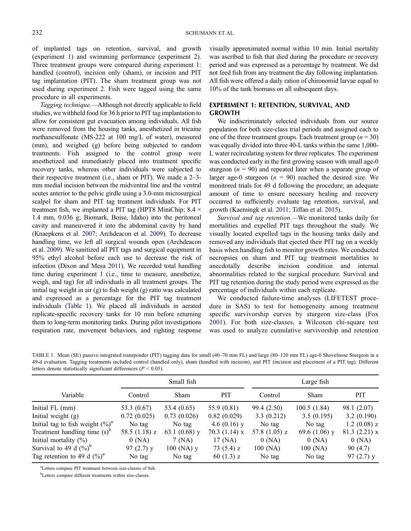of implanted tags on retention, survival, and growth (experiment 1) and swimming performance (experiment 2). Three treatment groups were compared during experiment 1: handled (control), incision only (sham), or incision and PIT tag implantation (PIT). The sham treatment group was not used during experiment 2. Fish were tagged using the same procedure in all experiments.

Tagging technique.—Although not directly applicable to field studies, we withheld food for 36 h prior to PIT tag implantation to allow for consistent gut evacuation among individuals. All fish were removed from the housing tanks, anesthetized in tricaine methanesulfonate (MS-222 at 100 mg/L of water), measured (mm), and weighed (g) before being subjected to random treatments. Fish assigned to the control group were anesthetized and immediately placed into treatment specific recovery tanks, whereas other individuals were subjected to their respective treatment (i.e., sham or PIT). We made a 2–3 mm medial incision between the midventral line and the ventral scutes anterior to the pelvic girdle using a 3.0-mm microsurgical scalpel for sham and PIT tag treatment individuals. For PIT treatment fish, we implanted a PIT tag (HPT8 MiniChip; 8.4 × 1.4 mm, 0.036 g; Biomark, Boise, Idaho) into the peritoneal cavity and maneuvered it into the abdominal cavity by hand (Knaepkens et al. [2007;](#page-9-8) Archdeacon et al. [2009\)](#page-9-9). To decrease handling time, we left all surgical wounds open (Archdeacon et al. [2009](#page-9-9)). We sanitized all PIT tags and surgical equipment in 95% ethyl alcohol before each use to decrease the risk of infection (Dixon and Mesa [2011](#page-9-13)). We recorded total handling time during experiment 1 (i.e., time to measure, anesthetize, weigh, and tag) for all individuals in all treatment groups. The initial tag weight in air (g) to fish weight (g) ratio was calculated and expressed as a percentage for the PIT tag treatment individuals [\(Table 1\)](#page-3-0). We placed all individuals in aerated replicate-specific recovery tanks for 10 min before returning them to long-term monitoring tanks. During pilot investigations respiration rate, movement behaviors, and righting response

visually approximated normal within 10 min. Initial mortality was ascribed to fish that died during the procedure or recovery period and was expressed as a percentage by treatment. We did not feed fish from any treatment the day following implantation. All fish were offered a daily ration of chironomid larvae equal to 10% of the tank biomass on all subsequent days.

#### EXPERIMENT 1: RETENTION, SURVIVAL, AND GROWTH

We indiscriminately selected individuals from our source population for both size-class trial periods and assigned each to one of the three treatment groups. Each treatment group ( $n = 30$ ) was equally divided into three 40-L tanks within the same 1,000- L water recirculating system for three replicates. The experiment was conducted early in the first growing season with small age-0 sturgeon ( $n = 90$ ) and repeated later when a separate group of larger age-0 sturgeon  $(n = 90)$  reached the desired size. We monitored trials for 49 d following the procedure; an adequate amount of time to ensure necessary healing and recovery occurred to sufficiently evaluate tag retention, survival, and growth (Kaemingk et al. [2011](#page-9-4); Tiffan et al. [2015\)](#page-10-12).

Survival and tag retention.—We monitored tanks daily for mortalities and expelled PIT tags throughout the study. We visually located expelled tags in the housing tanks daily and removed any individuals that ejected their PIT tag on a weekly basis when handling fish to monitor growth rates. We conducted necropsies on sham and PIT tag treatment mortalities to anecdotally describe incision condition and internal abnormalities related to the surgical procedure. Survival and PIT tag retention during the study period were expressed as the percentage of individuals within each replicate.

We conducted failure-time analyses (LIFETEST procedure in SAS) to test for homogeneity among treatment specific survivorship curves by sturgeon size-class (Fox [2001](#page-9-21)). For both size-classes, a Wilcoxon chi-square test was used to analyze cumulative survivorship and retention

<span id="page-3-0"></span>

| TABLE 1. Mean (SE) passive integrated transponder (PIT) tagging data for small (40-70 mm FL) and large (80-120 mm FL) age-0 Shovelnose Sturgeon in a        |  |
|-------------------------------------------------------------------------------------------------------------------------------------------------------------|--|
| 49-d evaluation. Tagging treatments included control (handled only), sham (handled with incision), and PIT (incision and placement of a PIT tag). Different |  |
| letters denote statistically significant differences ( $P < 0.05$ ).                                                                                        |  |

|                                            | Small fish      |                 |                 | Large fish      |                 |                |
|--------------------------------------------|-----------------|-----------------|-----------------|-----------------|-----------------|----------------|
| Variable                                   | Control         | Sham            | <b>PIT</b>      | Control         | <b>Sham</b>     | <b>PIT</b>     |
| Initial FL (mm)                            | 53.3 $(0.67)$   | 53.4 (0.65)     | 55.9 (0.81)     | 99.4 (2.50)     | 100.5(1.84)     | 98.1 (2.07)    |
| Initial weight $(g)$                       | 0.72(0.025)     | 0.73(0.026)     | 0.82(0.029)     | 3.3(0.212)      | 3.5(0.195)      | 3.2(0.190)     |
| Initial tag to fish weight $(\%)^a$        | No tag          | No tag          | 4.6 $(0.16)$ y  | No tag          | No tag          | $1.2$ (0.08) z |
| Treatment handling time $(s)$ <sup>b</sup> | 58.5 $(1.18)$ z | 63.1 $(0.68)$ y | 70.3 $(1.14)$ x | 57.8 $(1.05)$ z | 69.6 $(1.06)$ y | $81.3(2.21)$ x |
| Initial mortality $(\%)$                   | 0(NA)           | 7 (NA)          | 17 (NA)         | 0(NA)           | 0(NA)           | 0(NA)          |
| Survival to 49 d $(\%)^b$                  | 97 $(2.7)$ y    | $100$ (NA) y    | 73 $(5.4)$ z    | 100 (NA)        | 100 (NA)        | 90 (4.7)       |
| Tag retention to 49 d $(\%)^a$             | No tag          | No tag          | 60 $(1.3)$ z    | No tag          | No tag          | 97 $(2.7)$ y   |

a Letters compare PIT treatment between size-classes of fish.

<sup>b</sup>Letters compare different treatments within size-classes.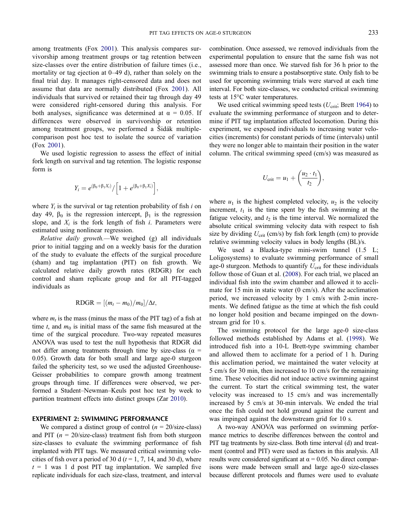among treatments (Fox [2001\)](#page-9-21). This analysis compares survivorship among treatment groups or tag retention between size-classes over the entire distribution of failure times (i.e., mortality or tag ejection at 0–49 d), rather than solely on the final trial day. It manages right-censored data and does not assume that data are normally distributed (Fox [2001](#page-9-21)). All individuals that survived or retained their tag through day 49 were considered right-censored during this analysis. For both analyses, significance was determined at  $\alpha = 0.05$ . If differences were observed in survivorship or retention among treatment groups, we performed a Šidák multiplecomparison post hoc test to isolate the source of variation (Fox [2001](#page-9-21)).

We used logistic regression to assess the effect of initial fork length on survival and tag retention. The logistic response form is

$$
Y_i = e^{(\beta_0 + \beta_1 X_i)} / \Big[ 1 + e^{(\beta_0 + \beta_1 X_i)} \Big],
$$

where  $Y_i$  is the survival or tag retention probability of fish i on day 49,  $β_0$  is the regression intercept,  $β_1$  is the regression slope, and  $X_i$  is the fork length of fish i. Parameters were estimated using nonlinear regression.

Relative daily growth.—We weighed (g) all individuals prior to initial tagging and on a weekly basis for the duration of the study to evaluate the effects of the surgical procedure (sham) and tag implantation (PIT) on fish growth. We calculated relative daily growth rates (RDGR) for each control and sham replicate group and for all PIT-tagged individuals as

$$
RDGR = [(m_t - m_0)/m_0]/\Delta t,
$$

where  $m_t$  is the mass (minus the mass of the PIT tag) of a fish at time t, and  $m_0$  is initial mass of the same fish measured at the time of the surgical procedure. Two-way repeated measures ANOVA was used to test the null hypothesis that RDGR did not differ among treatments through time by size-class ( $\alpha$  = 0.05). Growth data for both small and large age-0 sturgeon failed the sphericity test, so we used the adjusted Greenhouse-Geisser probabilities to compare growth among treatment groups through time. If differences were observed, we performed a Student–Newman–Keuls post hoc test by week to partition treatment effects into distinct groups (Zar [2010\)](#page-10-13).

#### EXPERIMENT 2: SWIMMING PERFORMANCE

We compared a distinct group of control  $(n = 20/\text{size-class})$ and PIT ( $n = 20$ /size-class) treatment fish from both sturgeon size-classes to evaluate the swimming performance of fish implanted with PIT tags. We measured critical swimming velocities of fish over a period of 30 d ( $t = 1, 7, 14$ , and 30 d), where  $t = 1$  was 1 d post PIT tag implantation. We sampled five replicate individuals for each size-class, treatment, and interval combination. Once assessed, we removed individuals from the experimental population to ensure that the same fish was not assessed more than once. We starved fish for 36 h prior to the swimming trials to ensure a postabsorptive state. Only fish to be used for upcoming swimming trials were starved at each time interval. For both size-classes, we conducted critical swimming tests at 15°C water temperatures.

We used critical swimming speed tests ( $U_{\text{crit}}$ ; Brett [1964](#page-9-22)) to evaluate the swimming performance of sturgeon and to determine if PIT tag implantation affected locomotion. During this experiment, we exposed individuals to increasing water velocities (increments) for constant periods of time (intervals) until they were no longer able to maintain their position in the water column. The critical swimming speed (cm/s) was measured as

$$
U_{\rm crit} = u_1 + \left(\frac{u_2 \cdot t_1}{t_2}\right),
$$

where  $u_1$  is the highest completed velocity,  $u_2$  is the velocity increment,  $t_1$  is the time spent by the fish swimming at the fatigue velocity, and  $t_2$  is the time interval. We normalized the absolute critical swimming velocity data with respect to fish size by dividing  $U_{\text{crit}}$  (cm/s) by fish fork length (cm) to provide relative swimming velocity values in body lengths (BL)/s.

We used a Blazka-type mini-swim tunnel (1.5 L; Loligosystems) to evaluate swimming performance of small age-0 sturgeon. Methods to quantify  $U_{\text{crit}}$  for these individuals follow those of Guan et al. ([2008\)](#page-9-23). For each trial, we placed an individual fish into the swim chamber and allowed it to acclimate for 15 min in static water (0 cm/s). After the acclimation period, we increased velocity by 1 cm/s with 2-min increments. We defined fatigue as the time at which the fish could no longer hold position and became impinged on the downstream grid for 10 s.

The swimming protocol for the large age-0 size-class followed methods established by Adams et al. ([1998\)](#page-9-24). We introduced fish into a 10-L Brett-type swimming chamber and allowed them to acclimate for a period of 1 h. During this acclimation period, we maintained the water velocity at 5 cm/s for 30 min, then increased to 10 cm/s for the remaining time. These velocities did not induce active swimming against the current. To start the critical swimming test, the water velocity was increased to 15 cm/s and was incrementally increased by 5 cm/s at 30-min intervals. We ended the trial once the fish could not hold ground against the current and was impinged against the downstream grid for 10 s.

A two-way ANOVA was performed on swimming performance metrics to describe differences between the control and PIT tag treatments by size-class. Both time interval (d) and treatment (control and PIT) were used as factors in this analysis. All results were considered significant at  $\alpha = 0.05$ . No direct comparisons were made between small and large age-0 size-classes because different protocols and flumes were used to evaluate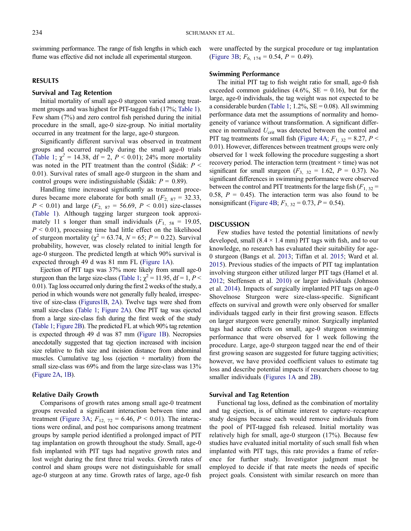swimming performance. The range of fish lengths in which each flume was effective did not include all experimental sturgeon.

#### RESULTS

#### Survival and Tag Retention

Initial mortality of small age-0 sturgeon varied among treatment groups and was highest for PIT-tagged fish (17%; [Table 1](#page-3-0)). Few sham (7%) and zero control fish perished during the initial procedure in the small, age-0 size-group. No initial mortality occurred in any treatment for the large, age-0 sturgeon.

Significantly different survival was observed in treatment groups and occurred rapidly during the small age-0 trials [\(Table 1](#page-3-0);  $\chi^2 = 14.38$ , df = 2, P < 0.01); 24% more mortality was noted in the PIT treatment than the control (Šidák:  $P \leq$ 0.01). Survival rates of small age-0 sturgeon in the sham and control groups were indistinguishable (Šidák:  $P = 0.89$ ).

Handling time increased significantly as treatment procedures became more elaborate for both small  $(F_{2, 87} = 32.33,$  $P < 0.01$ ) and large ( $F_{2, 87} = 56.69, P < 0.01$ ) size-classes [\(Table 1](#page-3-0)). Although tagging larger sturgeon took approximately 11 s longer than small individuals  $(F_1, 58 = 19.05,$  $P \leq 0.01$ ), processing time had little effect on the likelihood of sturgeon mortality ( $\chi^2$  = 63.74, N = 65; P = 0.22). Survival probability, however, was closely related to initial length for age-0 sturgeon. The predicted length at which 90% survival is expected through 49 d was 81 mm FL [\(Figure 1A\)](#page-6-0).

Ejection of PIT tags was 37% more likely from small age-0 sturgeon than the large size-class [\(Table 1](#page-3-0);  $\chi^2 = 11.95$ , df = 1, P < 0.01). Tag loss occurred only during the first 2 weeks of the study, a period in which wounds were not generally fully healed, irrespective of size-class [\(Figures1B](#page-6-0), [2A](#page-7-0)). Twelve tags were shed from small size-class ([Table 1](#page-3-0); [Figure 2A\)](#page-7-0). One PIT tag was ejected from a large size-class fish during the first week of the study [\(Table 1](#page-3-0); [Figure 2B](#page-7-0)). The predicted FL at which 90% tag retention is expected through 49 d was 87 mm ([Figure 1B\)](#page-6-0). Necropsies anecdotally suggested that tag ejection increased with incision size relative to fish size and incision distance from abdominal muscles. Cumulative tag loss (ejection  $+$  mortality) from the small size-class was 69% and from the large size-class was 13% [\(Figure 2A](#page-7-0), [1B](#page-6-0)).

#### Relative Daily Growth

Comparisons of growth rates among small age-0 treatment groups revealed a significant interaction between time and treatment ([Figure 3A;](#page-7-1)  $F_{12, 72} = 6.46, P \lt 0.01$ ). The interactions were ordinal, and post hoc comparisons among treatment groups by sample period identified a prolonged impact of PIT tag implantation on growth throughout the study. Small, age-0 fish implanted with PIT tags had negative growth rates and lost weight during the first three trial weeks. Growth rates of control and sham groups were not distinguishable for small age-0 sturgeon at any time. Growth rates of large, age-0 fish were unaffected by the surgical procedure or tag implantation [\(Figure 3B](#page-7-1);  $F_{6, 174} = 0.54$ ,  $P = 0.49$ ).

#### Swimming Performance

The initial PIT tag to fish weight ratio for small, age-0 fish exceeded common guidelines  $(4.6\%, \text{SE} = 0.16)$ , but for the large, age-0 individuals, the tag weight was not expected to be a considerable burden ([Table 1](#page-3-0);  $1.2\%$ , SE = 0.08). All swimming performance data met the assumptions of normality and homogeneity of variance without transformation. A significant difference in normalized  $U_{\text{crit}}$  was detected between the control and PIT tag treatments for small fish [\(Figure 4A;](#page-8-0)  $F_{1, 32} = 8.27, P <$ 0.01). However, differences between treatment groups were only observed for 1 week following the procedure suggesting a short recovery period. The interaction term (treatment  $\times$  time) was not significant for small sturgeon  $(F_3, 32 = 1.62, P = 0.37)$ . No significant differences in swimming performance were observed between the control and PIT treatments for the large fish  $(F_{1, 32} =$ 0.58,  $P = 0.45$ ). The interaction term was also found to be nonsignificant [\(Figure 4B;](#page-8-0)  $F_{3, 32} = 0.73$ ,  $P = 0.54$ ).

#### DISCUSSION

Few studies have tested the potential limitations of newly developed, small  $(8.4 \times 1.4 \text{ mm})$  PIT tags with fish, and to our knowledge, no research has evaluated their suitability for age-0 sturgeon (Bangs et al. [2013](#page-9-25); Tiffan et al. [2015](#page-10-12); Ward et al. [2015\)](#page-10-14). Previous studies of the impacts of PIT tag implantation involving sturgeon either utilized larger PIT tags (Hamel et al. [2012;](#page-9-5) Steffensen et al. [2010](#page-10-15)) or larger individuals (Johnson et al. [2014](#page-9-26)). Impacts of surgically implanted PIT tags on age-0 Shovelnose Sturgeon were size-class-specific. Significant effects on survival and growth were only observed for smaller individuals tagged early in their first growing season. Effects on larger sturgeon were generally minor. Surgically implanted tags had acute effects on small, age-0 sturgeon swimming performance that were observed for 1 week following the procedure. Large, age-0 sturgeon tagged near the end of their first growing season are suggested for future tagging activities; however, we have provided coefficient values to estimate tag loss and describe potential impacts if researchers choose to tag smaller individuals ([Figures 1A](#page-6-0) and [2B](#page-7-0)).

#### Survival and Tag Retention

Functional tag loss, defined as the combination of mortality and tag ejection, is of ultimate interest to capture–recapture study designs because each would remove individuals from the pool of PIT-tagged fish released. Initial mortality was relatively high for small, age-0 sturgeon (17%). Because few studies have evaluated initial mortality of such small fish when implanted with PIT tags, this rate provides a frame of reference for further study. Investigator judgment must be employed to decide if that rate meets the needs of specific project goals. Consistent with similar research on more than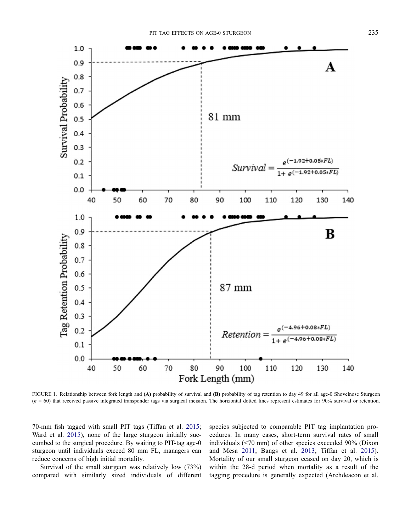

<span id="page-6-0"></span>FIGURE 1. Relationship between fork length and (A) probability of survival and (B) probability of tag retention to day 49 for all age-0 Shovelnose Sturgeon  $(n = 60)$  that received passive integrated transponder tags via surgical incision. The horizontal dotted lines represent estimates for 90% survival or retention.

70-mm fish tagged with small PIT tags (Tiffan et al. [2015](#page-10-12); Ward et al. [2015](#page-10-14)), none of the large sturgeon initially succumbed to the surgical procedure. By waiting to PIT-tag age-0 sturgeon until individuals exceed 80 mm FL, managers can reduce concerns of high initial mortality.

Survival of the small sturgeon was relatively low (73%) compared with similarly sized individuals of different species subjected to comparable PIT tag implantation procedures. In many cases, short-term survival rates of small individuals (<70 mm) of other species exceeded 90% (Dixon and Mesa [2011](#page-9-13); Bangs et al. [2013](#page-9-25); Tiffan et al. [2015](#page-10-12)). Mortality of our small sturgeon ceased on day 20, which is within the 28-d period when mortality as a result of the tagging procedure is generally expected (Archdeacon et al.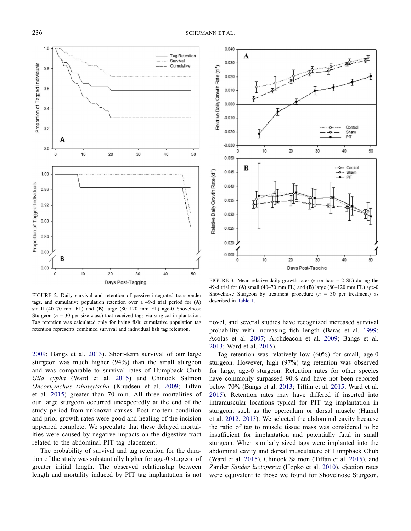

0.040 A 0.030 Relative Daily Growth Rate (d<sup>-1</sup>) 0.020 0.010 0.000  $-0.010$ Control  $-0.020$ Sham  $PT$  $-0.030$  $10$  $\dot{z}$ 30 40 50  $\Omega$  $0.050$ B Control<br>Sham Relative Daily Growth Rate (d<sup>-1</sup>) 0.045 0.040 0.035 0.030  $0.025$  $0.020$  $0.000$ 10 20 30 40 50  $\circ$ Days Post-Tagging

<span id="page-7-0"></span>FIGURE 2. Daily survival and retention of passive integrated transponder tags, and cumulative population retention over a 49-d trial period for (A) small (40–70 mm FL) and (B) large (80–120 mm FL) age-0 Shovelnose Sturgeon ( $n = 30$  per size-class) that received tags via surgical implantation. Tag retention was calculated only for living fish; cumulative population tag retention represents combined survival and individual fish tag retention.

[2009](#page-9-9); Bangs et al. [2013](#page-9-25)). Short-term survival of our large sturgeon was much higher (94%) than the small sturgeon and was comparable to survival rates of Humpback Chub Gila cypha (Ward et al. [2015](#page-10-14)) and Chinook Salmon Oncorhynchus tshawytscha (Knudsen et al. [2009;](#page-9-27) Tiffan et al. [2015\)](#page-10-12) greater than 70 mm. All three mortalities of our large sturgeon occurred unexpectedly at the end of the study period from unknown causes. Post mortem condition and prior growth rates were good and healing of the incision appeared complete. We speculate that these delayed mortalities were caused by negative impacts on the digestive tract related to the abdominal PIT tag placement.

The probability of survival and tag retention for the duration of the study was substantially higher for age-0 sturgeon of greater initial length. The observed relationship between length and mortality induced by PIT tag implantation is not

<span id="page-7-1"></span>FIGURE 3. Mean relative daily growth rates (error bars  $= 2$  SE) during the 49-d trial for (A) small (40–70 mm FL) and (B) large (80–120 mm FL) age-0 Shovelnose Sturgeon by treatment procedure  $(n = 30$  per treatment) as described in [Table 1](#page-3-0).

novel, and several studies have recognized increased survival probability with increasing fish length (Baras et al. [1999](#page-9-14); Acolas et al. [2007](#page-9-28); Archdeacon et al. [2009;](#page-9-9) Bangs et al. [2013](#page-9-25); Ward et al. [2015](#page-10-14)).

Tag retention was relatively low (60%) for small, age-0 sturgeon. However, high (97%) tag retention was observed for large, age-0 sturgeon. Retention rates for other species have commonly surpassed 90% and have not been reported below 70% (Bangs et al. [2013](#page-9-25); Tiffan et al. [2015](#page-10-12); Ward et al. [2015](#page-10-14)). Retention rates may have differed if inserted into intramuscular locations typical for PIT tag implantation in sturgeon, such as the operculum or dorsal muscle (Hamel et al. [2012,](#page-9-5) [2013\)](#page-9-20). We selected the abdominal cavity because the ratio of tag to muscle tissue mass was considered to be insufficient for implantation and potentially fatal in small sturgeon. When similarly sized tags were implanted into the abdominal cavity and dorsal musculature of Humpback Chub (Ward et al. [2015](#page-10-14)), Chinook Salmon (Tiffan et al. [2015](#page-10-12)), and Zander Sander lucioperca (Hopko et al. [2010](#page-9-29)), ejection rates were equivalent to those we found for Shovelnose Sturgeon.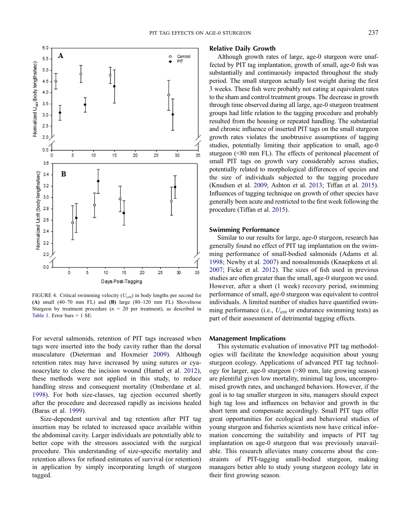

<span id="page-8-0"></span>FIGURE 4. Critical swimming velocity  $(U_{\text{crit}})$  in body lengths per second for (A) small  $(40-70 \text{ mm } FL)$  and  $(B)$  large  $(80-120 \text{ mm } FL)$  Shovelnose Sturgeon by treatment procedure  $(n = 20$  per treatment), as described in [Table 1](#page-3-0). Error bars = 1 SE.

For several salmonids, retention of PIT tags increased when tags were inserted into the body cavity rather than the dorsal musculature (Dieterman and Hoxmeier [2009](#page-9-30)). Although retention rates may have increased by using sutures or cyanoacrylate to close the incision wound (Hamel et al. [2012](#page-9-5)), these methods were not applied in this study, to reduce handling stress and consequent mortality (Omberdane et al. [1998\)](#page-10-16). For both size-classes, tag ejection occurred shortly after the procedure and decreased rapidly as incisions healed (Baras et al. [1999\)](#page-9-14).

Size-dependent survival and tag retention after PIT tag insertion may be related to increased space available within the abdominal cavity. Larger individuals are potentially able to better cope with the stressors associated with the surgical procedure. This understanding of size-specific mortality and retention allows for refined estimates of survival (or retention) in application by simply incorporating length of sturgeon tagged.

#### Relative Daily Growth

Although growth rates of large, age-0 sturgeon were unaffected by PIT tag implantation, growth of small, age-0 fish was substantially and continuously impacted throughout the study period. The small sturgeon actually lost weight during the first 3 weeks. These fish were probably not eating at equivalent rates to the sham and control treatment groups. The decrease in growth through time observed during all large, age-0 sturgeon treatment groups had little relation to the tagging procedure and probably resulted from the housing or repeated handling. The substantial and chronic influence of inserted PIT tags on the small sturgeon growth rates violates the unobtrusive assumptions of tagging studies, potentially limiting their application to small, age-0 sturgeon (<80 mm FL). The effects of peritoneal placement of small PIT tags on growth vary considerably across studies, potentially related to morphological differences of species and the size of individuals subjected to the tagging procedure (Knudsen et al. [2009;](#page-9-27) Ashton et al. [2013](#page-9-31); Tiffan et al. [2015](#page-10-12)). Influences of tagging technique on growth of other species have generally been acute and restricted to the first week following the procedure (Tiffan et al. [2015](#page-10-12)).

#### Swimming Performance

Similar to our results for large, age-0 sturgeon, research has generally found no effect of PIT tag implantation on the swimming performance of small-bodied salmonids (Adams et al. [1998;](#page-9-24) Newby et al. [2007\)](#page-10-17) and nonsalmonids (Knaepkens et al. [2007;](#page-9-8) Ficke et al. [2012\)](#page-9-10). The sizes of fish used in previous studies are often greater than the small, age-0 sturgeon we used. However, after a short (1 week) recovery period, swimming performance of small, age-0 sturgeon was equivalent to control individuals. A limited number of studies have quantified swimming performance (i.e.,  $U_{\text{crit}}$  or endurance swimming tests) as part of their assessment of detrimental tagging effects.

#### Management Implications

This systematic evaluation of innovative PIT tag methodologies will facilitate the knowledge acquisition about young sturgeon ecology. Applications of advanced PIT tag technology for larger, age-0 sturgeon (>80 mm, late growing season) are plentiful given low mortality, minimal tag loss, uncompromised growth rates, and unchanged behaviors. However, if the goal is to tag smaller sturgeon in situ, managers should expect high tag loss and influences on behavior and growth in the short term and compensate accordingly. Small PIT tags offer great opportunities for ecological and behavioral studies of young sturgeon and fisheries scientists now have critical information concerning the suitability and impacts of PIT tag implantation on age-0 sturgeon that was previously unavailable. This research alleviates many concerns about the constraints of PIT-tagging small-bodied sturgeon, making managers better able to study young sturgeon ecology late in their first growing season.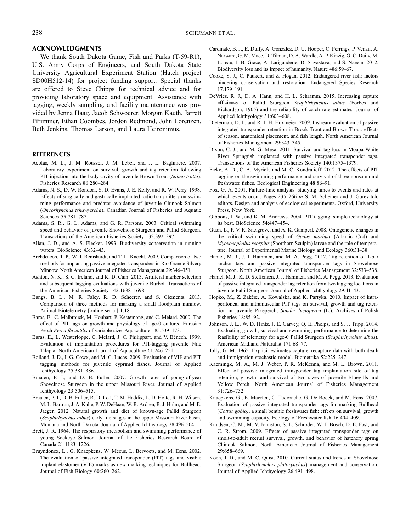#### ACKNOWLEDGMENTS

We thank South Dakota Game, Fish and Parks (T-59-R1), U.S. Army Corps of Engineers, and South Dakota State University Agricultural Experiment Station (Hatch project SD00H512-14) for project funding support. Special thanks are offered to Steve Chipps for technical advice and for providing laboratory space and equipment. Assistance with tagging, weekly sampling, and facility maintenance was provided by Jenna Haag, Jacob Schwoerer, Morgan Kauth, Jarrett Pfrimmer, Ethan Coombes, Jordon Redmond, John Lorenzen, Beth Jenkins, Thomas Larson, and Laura Heironimus.

#### REFERENCES

- <span id="page-9-28"></span>Acolas, M. L., J. M. Roussel, J. M. Lebel, and J. L. Bagliniere. 2007. Laboratory experiment on survival, growth and tag retention following PIT injection into the body cavity of juvenile Brown Trout (Salmo trutta). Fisheries Research 86:280–284.
- <span id="page-9-24"></span>Adams, N. S., D. W. Rondorf, S. D. Evans, J. E. Kelly, and R. W. Perry. 1998. Effects of surgically and gastrically implanted radio transmitters on swimming performance and predator avoidance of juvenile Chinook Salmon (Oncorhynchus tshawytscha). Canadian Journal of Fisheries and Aquatic Sciences 55:781–787.
- <span id="page-9-17"></span>Adams, S. R., G. L. Adams, and G. R. Parsons. 2003. Critical swimming speed and behavior of juvenile Shovelnose Sturgeon and Pallid Sturgeon. Transactions of the American Fisheries Society 132:392–397.
- <span id="page-9-1"></span>Allan, J. D., and A. S. Flecker. 1993. Biodiversity conservation in running waters. BioScience 43:32–43.
- <span id="page-9-9"></span>Archdeacon, T. P., W. J. Remshardt, and T. L. Knecht. 2009. Comparison of two methods for implanting passive integrated transponders in Rio Grande Silvery Minnow. North American Journal of Fisheries Management 29:346–351.
- <span id="page-9-31"></span>Ashton, N. K., S. C. Ireland, and K. D. Cain. 2013. Artificial marker selection and subsequent tagging evaluations with juvenile Burbot. Transactions of the American Fisheries Society 142:1688–1698.
- <span id="page-9-25"></span>Bangs, B. L., M. R. Falcy, R. D. Scheerer, and S. Clements. 2013. Comparison of three methods for marking a small floodplain minnow. Animal Biotelemetry [online serial] 1:18.
- <span id="page-9-11"></span>Baras, E., C. Malbrouck, M. Houbart, P. Kestemong, and C. Mélard. 2000. The effect of PIT tags on growth and physiology of age-0 cultured Eurasian Perch Perca fluviatilis of variable size. Aquaculture 185:539–173.
- <span id="page-9-14"></span>Baras, E., L. Westerloppe, C. Mélard, J. C. Philippart, and V. Bénech. 1999. Evaluation of implantation procedures for PIT-tagging juvenile Nile Tilapia. North American Journal of Aquaculture 61:246–251.
- <span id="page-9-7"></span>Bolland, J. D., I. G. Cowx, and M. C. Lucas. 2009. Evaluation of VIE and PIT tagging methods for juvenile cyprinid fishes. Journal of Applied Ichthyology 25:381–386.
- <span id="page-9-18"></span>Braaten, P. J., and D. B. Fuller. 2007. Growth rates of young-of-year Shovelnose Sturgeon in the upper Missouri River. Journal of Applied Ichthyology 23:506–515.
- <span id="page-9-19"></span>Braaten, P. J., D. B. Fuller, R. D. Lott, T. M. Haddix, L. D. Holte, R. H. Wilson, M. L. Bartron, J. A. Kalie, P. W. DeHaan, W. R. Ardren, R. J. Holm, and M. E. Jaeger. 2012. Natural growth and diet of known-age Pallid Sturgeon (Scaphirhynchus albus) early life stages in the upper Missouri River basin, Montana and North Dakota. Journal of Applied Ichthyology 28:496–504.
- <span id="page-9-22"></span>Brett, J. R. 1964. The respiratory metabolism and swimming performance of young Sockeye Salmon. Journal of the Fisheries Research Board of Canada 21:1183–1226.
- <span id="page-9-12"></span>Bruyndoncx, L., G. Knaepkens, W. Meeus, L. Bervoets, and M. Eens. 2002. The evaluation of passive integrated transponder (PIT) tags and visible implant elastomer (VIE) marks as new marking techniques for Bullhead. Journal of Fish Biology 60:260–262.
- <span id="page-9-0"></span>Cardinale, B. J., E. Duffy, A. Gonzalez, D. U. Hooper, C. Perrings, P. Venail, A. Narwani, G. M. Mace, D. Tilman, D. A. Wardle, A. P. Kinzig, G. C. Daily, M. Loreau, J. B. Grace, A. Larigauderie, D. Srivastava, and S. Naeem. 2012. Biodiversity loss and its impact of humanity. Nature 486:59–67.
- <span id="page-9-2"></span>Cooke, S. J., C. Paukert, and Z. Hogan. 2012. Endangered river fish: factors hindering conservation and restoration. Endangered Species Research 17:179–191.
- <span id="page-9-16"></span>DeVries, R. J., D. A. Hann, and H. L. Schramm. 2015. Increasing capture efficiency of Pallid Sturgeon Scaphirhynchus albus (Forbes and Richardson, 1905) and the reliability of catch rate estimates. Journal of Applied Ichthyology 31:603–608.
- <span id="page-9-30"></span>Dieterman, D. J., and R. J. H. Hoxmeier. 2009. Instream evaluation of passive integrated transponder retention in Brook Trout and Brown Trout: effects of season, anatomical placement, and fish length. North American Journal of Fisheries Management 29:343–345.
- <span id="page-9-13"></span>Dixon, C. J., and M. G. Mesa. 2011. Survival and tag loss in Moapa White River Springfish implanted with passive integrated transponder tags. Transactions of the American Fisheries Society 140:1375–1379.
- <span id="page-9-10"></span>Ficke, A. D., C. A. Myrick, and M. C. Kondratieff. 2012. The effects of PIT tagging on the swimming performance and survival of three nonsalmonid freshwater fishes. Ecological Engineering 48:86–91.
- <span id="page-9-21"></span>Fox, G. A. 2001. Failure-time analysis: studying times to events and rates at which events occur. Pages 235-266 in S. M. Scheiner and J. Gurevitch, editors. Design and analysis of ecological experiments. Oxford, University Press, New York.
- <span id="page-9-6"></span>Gibbons, J. W., and K. M. Andrews. 2004. PIT tagging: simple technology at its best. BioScience 54:447–454.
- <span id="page-9-23"></span>Guan, L., P. V. R. Snelgrove, and A. K. Gamperl. 2008. Ontogenetic changes in the critical swimming speed of Gadus morhua (Atlantic Cod) and Myoxocephalus scorpius (Shorthorn Sculpin) larvae and the role of temperature. Journal of Experimental Marine Biology and Ecology 360:31–38.
- <span id="page-9-5"></span>Hamel, M. J., J. J. Hammen, and M. A. Pegg. 2012. Tag retention of T-bar anchor tags and passive integrated transponder tags in Shovelnose Sturgeon. North American Journal of Fisheries Management 32:533–538.
- <span id="page-9-20"></span>Hamel, M. J., K. D. Steffensen, J. J. Hammen, and M. A. Pegg. 2013. Evaluation of passive integrated transponder tag retention from two tagging locations in juvenile Pallid Sturgeon. Journal of Applied Ichthyology 29:41–43.
- <span id="page-9-29"></span>Hopko, M., Z. Zakêœ, A. Kowalska, and K. Partyka. 2010. Impact of intraperitoneal and intramuscular PIT tags on survival, growth and tag retention in juvenile Pikeperch, Sander lucioperca (L.). Archives of Polish Fisheries 18:85–92.
- <span id="page-9-26"></span>Johnson, J. L., W. D. Hintz, J. E. Garvey, Q. E. Phelps, and S. J. Tripp. 2014. Evaluating growth, survival and swimming performance to determine the feasibility of telemetry for age-0 Pallid Sturgeon (Scaphirhynchus albus). American Midland Naturalist 171:68–77.
- <span id="page-9-3"></span>Jolly, G. M. 1965. Explicit estimates capture–recapture data with both death and immigration stochastic model. Biometrika 52:225–247.
- <span id="page-9-4"></span>Kaemingk, M. A., M. J. Weber, P. R. McKenna, and M. L. Brown. 2011. Effect of passive integrated transponder tag implantation site of tag retention, growth, and survival of two sizes of juvenile Bluegills and Yellow Perch. North American Journal of Fisheries Management 31:726–732.
- <span id="page-9-8"></span>Knaepkens, G., E. Maerten, C. Tudorache, G. De Boeck, and M. Eens. 2007. Evaluation of passive integrated transponder tags for marking Bullhead (Cottus gobio), a small benthic freshwater fish: effects on survival, growth and swimming capacity. Ecology of Freshwater fish 16:404–409.
- <span id="page-9-27"></span>Knudsen, C. M., M. V. Johnston, S. L. Schroder, W. J. Bosch, D. E. Fast, and C. R. Strom. 2009. Effects of passive integrated transponder tags on smolt-to-adult recruit survival, growth, and behavior of hatchery spring Chinook Salmon. North American Journal of Fisheries Management 29:658–669.
- <span id="page-9-15"></span>Koch, J. D., and M. C. Quist. 2010. Current status and trends in Shovelnose Sturgeon (Scaphirhynchus platorynchus) management and conservation. Journal of Applied Ichthyology 26:491–498.